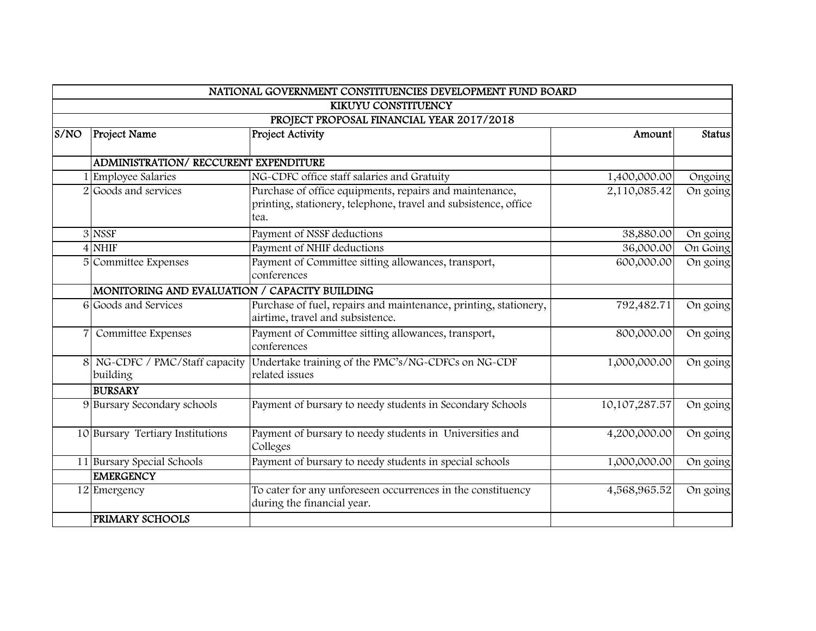|      |                                               | NATIONAL GOVERNMENT CONSTITUENCIES DEVELOPMENT FUND BOARD        |               |          |
|------|-----------------------------------------------|------------------------------------------------------------------|---------------|----------|
|      |                                               | KIKUYU CONSTITUENCY                                              |               |          |
|      | PROJECT PROPOSAL FINANCIAL YEAR 2017/2018     |                                                                  |               |          |
| S/NO | <b>Project Name</b>                           | Project Activity                                                 | Amount        | Status   |
|      |                                               |                                                                  |               |          |
|      | <b>ADMINISTRATION/ RECCURENT EXPENDITURE</b>  |                                                                  |               |          |
|      | 1 Employee Salaries                           | NG-CDFC office staff salaries and Gratuity                       | 1,400,000.00  | Ongoing  |
|      | 2 Goods and services                          | Purchase of office equipments, repairs and maintenance,          | 2,110,085.42  | On going |
|      |                                               | printing, stationery, telephone, travel and subsistence, office  |               |          |
|      |                                               | tea.                                                             |               |          |
|      | 3 NSSF                                        | Payment of NSSF deductions                                       | 38,880.00     | On going |
|      | 4 NHIF                                        | Payment of NHIF deductions                                       | 36,000.00     | On Going |
|      | 5 Committee Expenses                          | Payment of Committee sitting allowances, transport,              | 600,000.00    | On going |
|      |                                               | conferences                                                      |               |          |
|      | MONITORING AND EVALUATION / CAPACITY BUILDING |                                                                  |               |          |
|      | 6 Goods and Services                          | Purchase of fuel, repairs and maintenance, printing, stationery, | 792,482.71    | On going |
|      |                                               | airtime, travel and subsistence.                                 |               |          |
|      | Committee Expenses                            | Payment of Committee sitting allowances, transport,              | 800,000.00    | On going |
|      |                                               | conferences                                                      |               |          |
|      | 8 NG-CDFC / PMC/Staff capacity                | Undertake training of the PMC's/NG-CDFCs on NG-CDF               | 1,000,000.00  | On going |
|      | building                                      | related issues                                                   |               |          |
|      | <b>BURSARY</b>                                |                                                                  |               |          |
|      | 9 Bursary Secondary schools                   | Payment of bursary to needy students in Secondary Schools        | 10,107,287.57 | On going |
|      |                                               |                                                                  |               |          |
|      | 10 Bursary Tertiary Institutions              | Payment of bursary to needy students in Universities and         | 4,200,000.00  | On going |
|      |                                               | Colleges                                                         |               |          |
|      | 11 Bursary Special Schools                    | Payment of bursary to needy students in special schools          | 1,000,000.00  | On going |
|      | <b>EMERGENCY</b>                              |                                                                  |               |          |
|      | 12 Emergency                                  | To cater for any unforeseen occurrences in the constituency      | 4,568,965.52  | On going |
|      |                                               | during the financial year.                                       |               |          |
|      | PRIMARY SCHOOLS                               |                                                                  |               |          |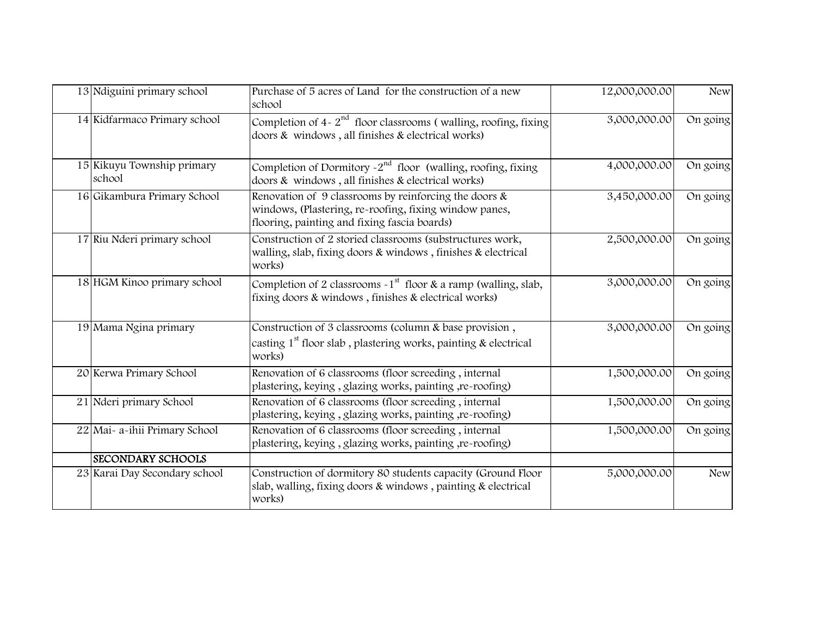| 13 Ndiguini primary school           | Purchase of 5 acres of Land for the construction of a new<br>school                                                                                                | 12,000,000.00 | <b>New</b> |
|--------------------------------------|--------------------------------------------------------------------------------------------------------------------------------------------------------------------|---------------|------------|
| 14 Kidfarmaco Primary school         | Completion of $4 - 2nd$ floor classrooms (walling, roofing, fixing<br>doors & windows, all finishes & electrical works)                                            | 3,000,000.00  | On going   |
| 15 Kikuyu Township primary<br>school | Completion of Dormitory $\sim$ 2 <sup>nd</sup> floor (walling, roofing, fixing<br>doors & windows, all finishes & electrical works)                                | 4,000,000.00  | On going   |
| 16 Gikambura Primary School          | Renovation of 9 classrooms by reinforcing the doors $\&$<br>windows, (Plastering, re-roofing, fixing window panes,<br>flooring, painting and fixing fascia boards) | 3,450,000.00  | On going   |
| 17 Riu Nderi primary school          | Construction of 2 storied classrooms (substructures work,<br>walling, slab, fixing doors & windows, finishes & electrical<br>works)                                | 2,500,000.00  | On going   |
| 18 HGM Kinoo primary school          | Completion of 2 classrooms $\sim 1^{st}$ floor & a ramp (walling, slab,<br>fixing doors & windows, finishes & electrical works)                                    | 3,000,000.00  | On going   |
| 19 Mama Ngina primary                | Construction of 3 classrooms (column & base provision,<br>casting $1st$ floor slab, plastering works, painting & electrical<br>works)                              | 3,000,000.00  | On going   |
| 20 Kerwa Primary School              | Renovation of 6 classrooms (floor screeding, internal<br>plastering, keying, glazing works, painting, re-roofing)                                                  | 1,500,000.00  | On going   |
| 21 Nderi primary School              | Renovation of 6 classrooms (floor screeding, internal<br>plastering, keying, glazing works, painting, re-roofing)                                                  | 1,500,000.00  | On going   |
| 22 Mai- a-ihii Primary School        | Renovation of 6 classrooms (floor screeding, internal<br>plastering, keying, glazing works, painting, re-roofing)                                                  | 1,500,000.00  | On going   |
| <b>SECONDARY SCHOOLS</b>             |                                                                                                                                                                    |               |            |
| 23 Karai Day Secondary school        | Construction of dormitory 80 students capacity (Ground Floor<br>slab, walling, fixing doors & windows, painting & electrical<br>works)                             | 5,000,000.00  | <b>New</b> |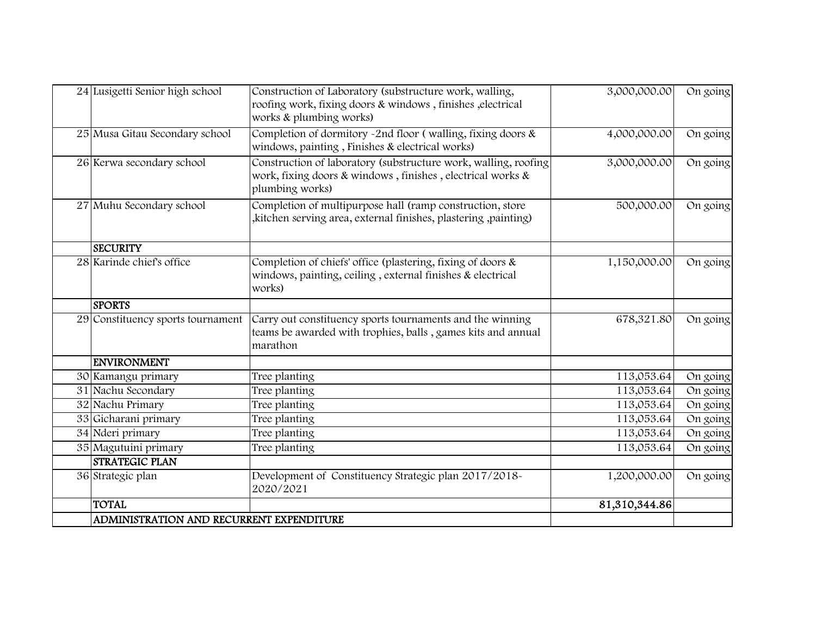| 24 Lusigetti Senior high school          | Construction of Laboratory (substructure work, walling,<br>roofing work, fixing doors & windows, finishes, electrical<br>works & plumbing works) | 3,000,000.00  | On going |
|------------------------------------------|--------------------------------------------------------------------------------------------------------------------------------------------------|---------------|----------|
| 25 Musa Gitau Secondary school           | Completion of dormitory -2nd floor (walling, fixing doors $\&$<br>windows, painting, Finishes & electrical works)                                | 4,000,000.00  | On going |
| 26 Kerwa secondary school                | Construction of laboratory (substructure work, walling, roofing<br>work, fixing doors & windows, finishes, electrical works &<br>plumbing works) | 3,000,000.00  | On going |
| 27 Muhu Secondary school                 | Completion of multipurpose hall (ramp construction, store<br>"kitchen serving area, external finishes, plastering, painting)                     | 500,000.00    | On going |
| <b>SECURITY</b>                          |                                                                                                                                                  |               |          |
| 28 Karinde chief's office                | Completion of chiefs' office (plastering, fixing of doors &<br>windows, painting, ceiling, external finishes & electrical<br>works)              | 1,150,000.00  | On going |
| <b>SPORTS</b>                            |                                                                                                                                                  |               |          |
| 29 Constituency sports tournament        | Carry out constituency sports tournaments and the winning<br>teams be awarded with trophies, balls, games kits and annual<br>marathon            | 678,321.80    | On going |
| <b>ENVIRONMENT</b>                       |                                                                                                                                                  |               |          |
| 30 Kamangu primary                       | Tree planting                                                                                                                                    | 113,053.64    | On going |
| 31 Nachu Secondary                       | Tree planting                                                                                                                                    | 113,053.64    | On going |
| 32 Nachu Primary                         | Tree planting                                                                                                                                    | 113,053.64    | On going |
| 33 Gicharani primary                     | Tree planting                                                                                                                                    | 113,053.64    | On going |
| 34 Nderi primary                         | Tree planting                                                                                                                                    | 113,053.64    | On going |
| 35 Magutuini primary                     | Tree planting                                                                                                                                    | 113,053.64    | On going |
| <b>STRATEGIC PLAN</b>                    |                                                                                                                                                  |               |          |
| 36 Strategic plan                        | Development of Constituency Strategic plan 2017/2018-<br>2020/2021                                                                               | 1,200,000.00  | On going |
| <b>TOTAL</b>                             |                                                                                                                                                  | 81,310,344.86 |          |
| ADMINISTRATION AND RECURRENT EXPENDITURE |                                                                                                                                                  |               |          |